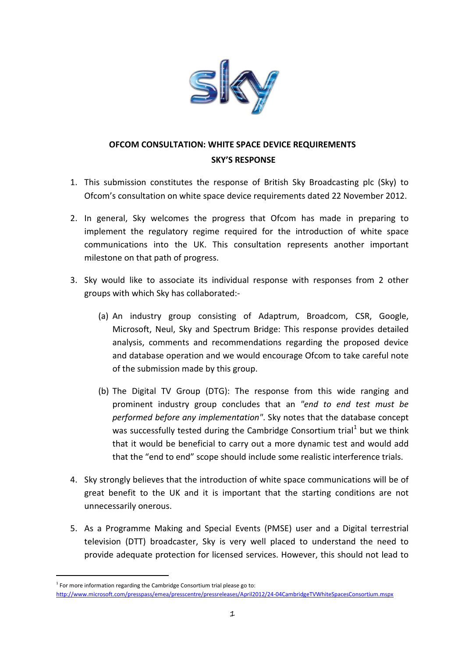

## **OFCOM CONSULTATION: WHITE SPACE DEVICE REQUIREMENTS SKY'S RESPONSE**

- 1. This submission constitutes the response of British Sky Broadcasting plc (Sky) to Ofcom's consultation on white space device requirements dated 22 November 2012.
- 2. In general, Sky welcomes the progress that Ofcom has made in preparing to implement the regulatory regime required for the introduction of white space communications into the UK. This consultation represents another important milestone on that path of progress.
- 3. Sky would like to associate its individual response with responses from 2 other groups with which Sky has collaborated:-
	- (a) An industry group consisting of Adaptrum, Broadcom, CSR, Google, Microsoft, Neul, Sky and Spectrum Bridge: This response provides detailed analysis, comments and recommendations regarding the proposed device and database operation and we would encourage Ofcom to take careful note of the submission made by this group.
	- (b) The Digital TV Group (DTG): The response from this wide ranging and prominent industry group concludes that an *"end to end test must be performed before any implementation"*. Sky notes that the database concept was successfully tested during the Cambridge Consortium trial<sup>[1](#page-0-0)</sup> but we think that it would be beneficial to carry out a more dynamic test and would add that the "end to end" scope should include some realistic interference trials.
- 4. Sky strongly believes that the introduction of white space communications will be of great benefit to the UK and it is important that the starting conditions are not unnecessarily onerous.
- 5. As a Programme Making and Special Events (PMSE) user and a Digital terrestrial television (DTT) broadcaster, Sky is very well placed to understand the need to provide adequate protection for licensed services. However, this should not lead to

-

<span id="page-0-0"></span> $1$  For more information regarding the Cambridge Consortium trial please go to: <http://www.microsoft.com/presspass/emea/presscentre/pressreleases/April2012/24-04CambridgeTVWhiteSpacesConsortium.mspx>